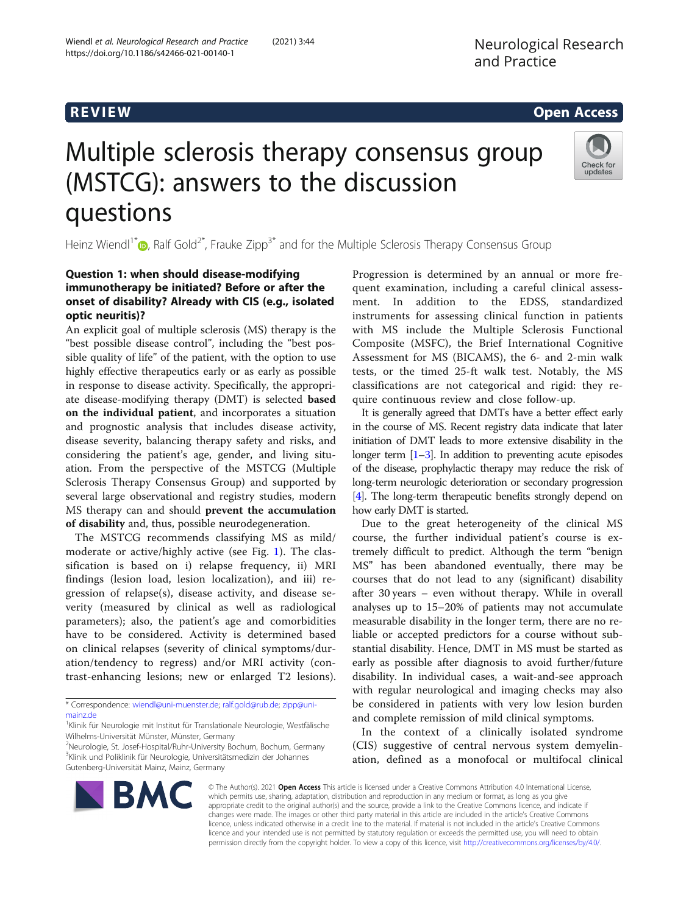# R EVI EW Open Access

# Multiple sclerosis therapy consensus group (MSTCG): answers to the discussion questions



Heinz Wiendl<sup>1\*</sup><sup>®</sup>[,](http://orcid.org/0000-0003-4310-3432) Ralf Gold<sup>2\*</sup>, Frauke Zipp<sup>3\*</sup> and for the Multiple Sclerosis Therapy Consensus Group

# Question 1: when should disease-modifying immunotherapy be initiated? Before or after the onset of disability? Already with CIS (e.g., isolated optic neuritis)?

An explicit goal of multiple sclerosis (MS) therapy is the "best possible disease control", including the "best possible quality of life" of the patient, with the option to use highly effective therapeutics early or as early as possible in response to disease activity. Specifically, the appropriate disease-modifying therapy (DMT) is selected based on the individual patient, and incorporates a situation and prognostic analysis that includes disease activity, disease severity, balancing therapy safety and risks, and considering the patient's age, gender, and living situation. From the perspective of the MSTCG (Multiple Sclerosis Therapy Consensus Group) and supported by several large observational and registry studies, modern MS therapy can and should prevent the accumulation of disability and, thus, possible neurodegeneration.

The MSTCG recommends classifying MS as mild/ moderate or active/highly active (see Fig. [1\)](#page-1-0). The classification is based on i) relapse frequency, ii) MRI findings (lesion load, lesion localization), and iii) regression of relapse(s), disease activity, and disease severity (measured by clinical as well as radiological parameters); also, the patient's age and comorbidities have to be considered. Activity is determined based on clinical relapses (severity of clinical symptoms/duration/tendency to regress) and/or MRI activity (contrast-enhancing lesions; new or enlarged T2 lesions).

\* Correspondence: [wiendl@uni-muenster.de](mailto:wiendl@uni-muenster.de); [ralf.gold@rub.de;](mailto:ralf.gold@rub.de) [zipp@uni](mailto:zipp@uni-mainz.de)[mainz.de](mailto:zipp@uni-mainz.de)

<sup>2</sup>Neurologie, St. Josef-Hospital/Ruhr-University Bochum, Bochum, Germany <sup>3</sup>Klinik und Poliklinik für Neurologie, Universitätsmedizin der Johannes Gutenberg-Universität Mainz, Mainz, Germany

Progression is determined by an annual or more frequent examination, including a careful clinical assessment. In addition to the EDSS, standardized instruments for assessing clinical function in patients with MS include the Multiple Sclerosis Functional Composite (MSFC), the Brief International Cognitive Assessment for MS (BICAMS), the 6- and 2-min walk tests, or the timed 25-ft walk test. Notably, the MS classifications are not categorical and rigid: they require continuous review and close follow-up.

It is generally agreed that DMTs have a better effect early in the course of MS. Recent registry data indicate that later initiation of DMT leads to more extensive disability in the longer term  $[1-3]$  $[1-3]$  $[1-3]$  $[1-3]$ . In addition to preventing acute episodes of the disease, prophylactic therapy may reduce the risk of long-term neurologic deterioration or secondary progression [[4](#page-5-0)]. The long-term therapeutic benefits strongly depend on how early DMT is started.

Due to the great heterogeneity of the clinical MS course, the further individual patient's course is extremely difficult to predict. Although the term "benign MS" has been abandoned eventually, there may be courses that do not lead to any (significant) disability after 30 years – even without therapy. While in overall analyses up to 15–20% of patients may not accumulate measurable disability in the longer term, there are no reliable or accepted predictors for a course without substantial disability. Hence, DMT in MS must be started as early as possible after diagnosis to avoid further/future disability. In individual cases, a wait-and-see approach with regular neurological and imaging checks may also be considered in patients with very low lesion burden and complete remission of mild clinical symptoms.

In the context of a clinically isolated syndrome (CIS) suggestive of central nervous system demyelination, defined as a monofocal or multifocal clinical



© The Author(s). 2021 Open Access This article is licensed under a Creative Commons Attribution 4.0 International License, which permits use, sharing, adaptation, distribution and reproduction in any medium or format, as long as you give appropriate credit to the original author(s) and the source, provide a link to the Creative Commons licence, and indicate if changes were made. The images or other third party material in this article are included in the article's Creative Commons licence, unless indicated otherwise in a credit line to the material. If material is not included in the article's Creative Commons licence and your intended use is not permitted by statutory regulation or exceeds the permitted use, you will need to obtain permission directly from the copyright holder. To view a copy of this licence, visit [http://creativecommons.org/licenses/by/4.0/.](http://creativecommons.org/licenses/by/4.0/)

<sup>&</sup>lt;sup>1</sup>Klinik für Neurologie mit Institut für Translationale Neurologie, Westfälische Wilhelms-Universität Münster, Münster, Germany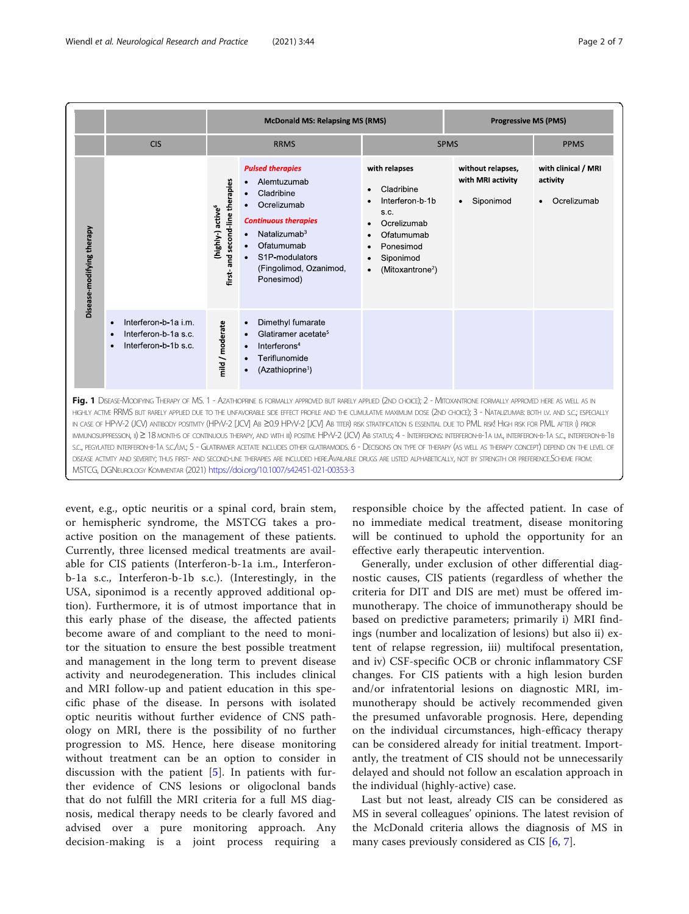<span id="page-1-0"></span>

|                                                                                                                                                                                                                                                                                                                                                                                                                                                                                                                                                                                                                                                                                                                                                                                                                                                                                                                                                                                                                                                                                                                                                                                      |                                                                                   | <b>McDonald MS: Relapsing MS (RMS)</b>                               |                                                                                                                                                                                                            | <b>Progressive MS (PMS)</b>                                                                                                                                |                                                                  |                                                |
|--------------------------------------------------------------------------------------------------------------------------------------------------------------------------------------------------------------------------------------------------------------------------------------------------------------------------------------------------------------------------------------------------------------------------------------------------------------------------------------------------------------------------------------------------------------------------------------------------------------------------------------------------------------------------------------------------------------------------------------------------------------------------------------------------------------------------------------------------------------------------------------------------------------------------------------------------------------------------------------------------------------------------------------------------------------------------------------------------------------------------------------------------------------------------------------|-----------------------------------------------------------------------------------|----------------------------------------------------------------------|------------------------------------------------------------------------------------------------------------------------------------------------------------------------------------------------------------|------------------------------------------------------------------------------------------------------------------------------------------------------------|------------------------------------------------------------------|------------------------------------------------|
|                                                                                                                                                                                                                                                                                                                                                                                                                                                                                                                                                                                                                                                                                                                                                                                                                                                                                                                                                                                                                                                                                                                                                                                      | <b>CIS</b>                                                                        | <b>RRMS</b>                                                          |                                                                                                                                                                                                            | <b>SPMS</b>                                                                                                                                                |                                                                  | <b>PPMS</b>                                    |
| Disease-modifying therapy                                                                                                                                                                                                                                                                                                                                                                                                                                                                                                                                                                                                                                                                                                                                                                                                                                                                                                                                                                                                                                                                                                                                                            |                                                                                   | and second-line therapies<br>(highly-) active <sup>6</sup><br>first. | <b>Pulsed therapies</b><br>Alemtuzumab<br>Cladribine<br>Ocrelizumab<br><b>Continuous therapies</b><br>Natalizumab $3$<br>$\bullet$<br>Ofatumumab<br>S1P-modulators<br>(Fingolimod, Ozanimod,<br>Ponesimod) | with relapses<br>Cladribine<br>Interferon b 1b<br>S.C.<br>Ocrelizumab<br>Ofatumumab<br>Ponesimod<br>Siponimod<br>$\bullet$<br>(Mitoxantrone <sup>2</sup> ) | without relapses,<br>with MRI activity<br>Siponimod<br>$\bullet$ | with clinical / MRI<br>activity<br>Ocrelizumab |
|                                                                                                                                                                                                                                                                                                                                                                                                                                                                                                                                                                                                                                                                                                                                                                                                                                                                                                                                                                                                                                                                                                                                                                                      | Interferon-b-1a i.m.<br>$\bullet$<br>Interferon-b-1a s.c.<br>Interferon-b-1b s.c. | mild / moderate                                                      | Dimethyl fumarate<br>Glatiramer acetate <sup>5</sup><br>Interferons <sup>4</sup><br>Teriflunomide<br>(Azathioprine <sup>1</sup> )                                                                          |                                                                                                                                                            |                                                                  |                                                |
| Fig. 1 DISEASE-MODIFYING THERAPY OF MS. 1 - AZATHIOPRINE IS FORMALLY APPROVED BUT RARELY APPLIED (2ND CHOICE); 2 - MITOXANTRONE FORMALLY APPROVED HERE AS WELL AS IN<br>HIGHLY ACTIVE RRMS BUT RARELY APPLIED DUE TO THE UNFAVORABLE SIDE EFFECT PROFILE AND THE CUMULATIVE MAXIMUM DOSE (2ND CHOICE); 3 - NATALIZUMAB: BOTH I.V. AND S.C.; ESPECIALLY<br>IN CASE OF HPYV-2 (JCV) ANTIBODY POSITIVITY (HPYV-2 [JCV] AB 20.9 HPYV-2 [JCV] AB TITER) RISK STRATIFICATION IS ESSENTIAL DUE TO PML RISK HIGH RISK FOR PML AFTER I) PRIOR<br>IMMUNOSUPPRESSION, II) 2 18 MONTHS OF CONTINUOUS THERAPY, AND WITH III) POSITIVE HPVV-2 (JCV) AB STATUS; 4 - INTERFERONS: INTERFERON-B-1A I.M., INTERFERON-B-1A S.C., INTERFERON-B-1B<br>S.C., PEGYLATED INTERFERON-B-1A S.C./LM; 5 - GLATIRAMER ACETATE INCLUDES OTHER GLATIRAMOIDS, 6 - DECISIONS ON TYPE OF THERAPY (AS WELL AS THERAPY CONCEPT) DEPEND ON THE LEVEL OF<br>DISEASE ACTIVITY AND SEVERITY; THUS FIRST- AND SECOND-LINE THERAPIES ARE INCLUDED HEREAVAILABLE DRUGS ARE LISTED ALPHABETICALLY, NOT BY STRENGTH OR PREFERENCE. SCHEME FROM:<br>MSTCG, DGNEUROLOGY KOMMENTAR (2021) https://doi.org/10.1007/s42451-021-00353-3 |                                                                                   |                                                                      |                                                                                                                                                                                                            |                                                                                                                                                            |                                                                  |                                                |

event, e.g., optic neuritis or a spinal cord, brain stem, or hemispheric syndrome, the MSTCG takes a proactive position on the management of these patients. Currently, three licensed medical treatments are available for CIS patients (Interferon-b-1a i.m., Interferonb-1a s.c., Interferon-b-1b s.c.). (Interestingly, in the USA, siponimod is a recently approved additional option). Furthermore, it is of utmost importance that in this early phase of the disease, the affected patients become aware of and compliant to the need to monitor the situation to ensure the best possible treatment and management in the long term to prevent disease activity and neurodegeneration. This includes clinical and MRI follow-up and patient education in this specific phase of the disease. In persons with isolated optic neuritis without further evidence of CNS pathology on MRI, there is the possibility of no further progression to MS. Hence, here disease monitoring without treatment can be an option to consider in discussion with the patient [[5\]](#page-5-0). In patients with further evidence of CNS lesions or oligoclonal bands that do not fulfill the MRI criteria for a full MS diagnosis, medical therapy needs to be clearly favored and advised over a pure monitoring approach. Any decision-making is a joint process requiring a

responsible choice by the affected patient. In case of no immediate medical treatment, disease monitoring will be continued to uphold the opportunity for an effective early therapeutic intervention.

Generally, under exclusion of other differential diagnostic causes, CIS patients (regardless of whether the criteria for DIT and DIS are met) must be offered immunotherapy. The choice of immunotherapy should be based on predictive parameters; primarily i) MRI findings (number and localization of lesions) but also ii) extent of relapse regression, iii) multifocal presentation, and iv) CSF-specific OCB or chronic inflammatory CSF changes. For CIS patients with a high lesion burden and/or infratentorial lesions on diagnostic MRI, immunotherapy should be actively recommended given the presumed unfavorable prognosis. Here, depending on the individual circumstances, high-efficacy therapy can be considered already for initial treatment. Importantly, the treatment of CIS should not be unnecessarily delayed and should not follow an escalation approach in the individual (highly-active) case.

Last but not least, already CIS can be considered as MS in several colleagues' opinions. The latest revision of the McDonald criteria allows the diagnosis of MS in many cases previously considered as CIS [\[6](#page-5-0), [7](#page-6-0)].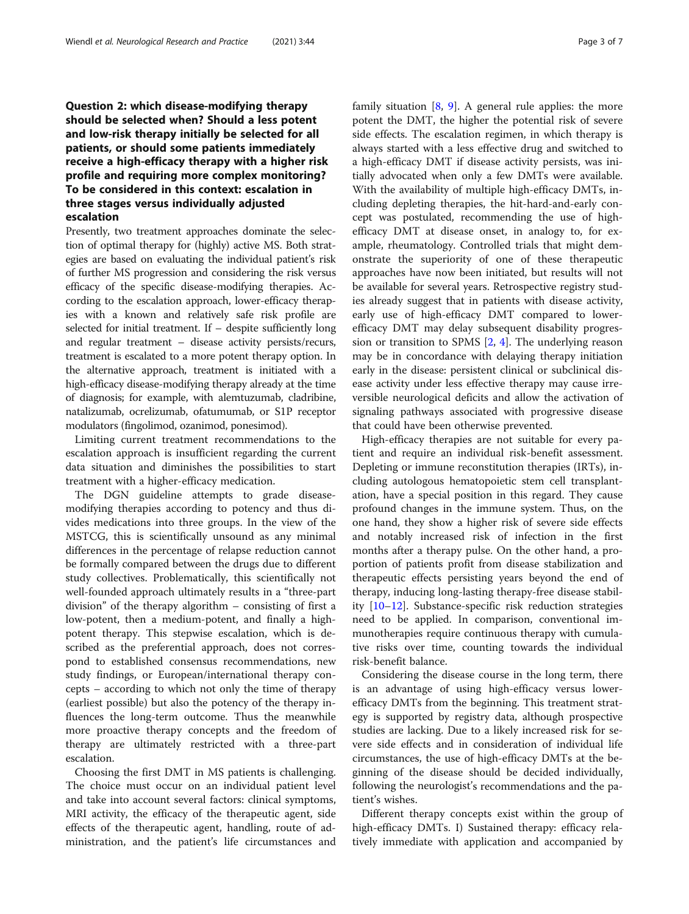# Question 2: which disease-modifying therapy should be selected when? Should a less potent and low-risk therapy initially be selected for all patients, or should some patients immediately receive a high-efficacy therapy with a higher risk profile and requiring more complex monitoring? To be considered in this context: escalation in three stages versus individually adjusted escalation

Presently, two treatment approaches dominate the selection of optimal therapy for (highly) active MS. Both strategies are based on evaluating the individual patient's risk of further MS progression and considering the risk versus efficacy of the specific disease-modifying therapies. According to the escalation approach, lower-efficacy therapies with a known and relatively safe risk profile are selected for initial treatment. If – despite sufficiently long and regular treatment – disease activity persists/recurs, treatment is escalated to a more potent therapy option. In the alternative approach, treatment is initiated with a high-efficacy disease-modifying therapy already at the time of diagnosis; for example, with alemtuzumab, cladribine, natalizumab, ocrelizumab, ofatumumab, or S1P receptor modulators (fingolimod, ozanimod, ponesimod).

Limiting current treatment recommendations to the escalation approach is insufficient regarding the current data situation and diminishes the possibilities to start treatment with a higher-efficacy medication.

The DGN guideline attempts to grade diseasemodifying therapies according to potency and thus divides medications into three groups. In the view of the MSTCG, this is scientifically unsound as any minimal differences in the percentage of relapse reduction cannot be formally compared between the drugs due to different study collectives. Problematically, this scientifically not well-founded approach ultimately results in a "three-part division" of the therapy algorithm – consisting of first a low-potent, then a medium-potent, and finally a highpotent therapy. This stepwise escalation, which is described as the preferential approach, does not correspond to established consensus recommendations, new study findings, or European/international therapy concepts – according to which not only the time of therapy (earliest possible) but also the potency of the therapy influences the long-term outcome. Thus the meanwhile more proactive therapy concepts and the freedom of therapy are ultimately restricted with a three-part escalation.

Choosing the first DMT in MS patients is challenging. The choice must occur on an individual patient level and take into account several factors: clinical symptoms, MRI activity, the efficacy of the therapeutic agent, side effects of the therapeutic agent, handling, route of administration, and the patient's life circumstances and family situation [\[8](#page-6-0), [9](#page-6-0)]. A general rule applies: the more potent the DMT, the higher the potential risk of severe side effects. The escalation regimen, in which therapy is always started with a less effective drug and switched to a high-efficacy DMT if disease activity persists, was initially advocated when only a few DMTs were available. With the availability of multiple high-efficacy DMTs, including depleting therapies, the hit-hard-and-early concept was postulated, recommending the use of highefficacy DMT at disease onset, in analogy to, for example, rheumatology. Controlled trials that might demonstrate the superiority of one of these therapeutic approaches have now been initiated, but results will not be available for several years. Retrospective registry studies already suggest that in patients with disease activity, early use of high-efficacy DMT compared to lowerefficacy DMT may delay subsequent disability progression or transition to SPMS [[2,](#page-5-0) [4\]](#page-5-0). The underlying reason may be in concordance with delaying therapy initiation early in the disease: persistent clinical or subclinical disease activity under less effective therapy may cause irreversible neurological deficits and allow the activation of signaling pathways associated with progressive disease that could have been otherwise prevented.

High-efficacy therapies are not suitable for every patient and require an individual risk-benefit assessment. Depleting or immune reconstitution therapies (IRTs), including autologous hematopoietic stem cell transplantation, have a special position in this regard. They cause profound changes in the immune system. Thus, on the one hand, they show a higher risk of severe side effects and notably increased risk of infection in the first months after a therapy pulse. On the other hand, a proportion of patients profit from disease stabilization and therapeutic effects persisting years beyond the end of therapy, inducing long-lasting therapy-free disease stability [[10](#page-6-0)–[12](#page-6-0)]. Substance-specific risk reduction strategies need to be applied. In comparison, conventional immunotherapies require continuous therapy with cumulative risks over time, counting towards the individual risk-benefit balance.

Considering the disease course in the long term, there is an advantage of using high-efficacy versus lowerefficacy DMTs from the beginning. This treatment strategy is supported by registry data, although prospective studies are lacking. Due to a likely increased risk for severe side effects and in consideration of individual life circumstances, the use of high-efficacy DMTs at the beginning of the disease should be decided individually, following the neurologist's recommendations and the patient's wishes.

Different therapy concepts exist within the group of high-efficacy DMTs. I) Sustained therapy: efficacy relatively immediate with application and accompanied by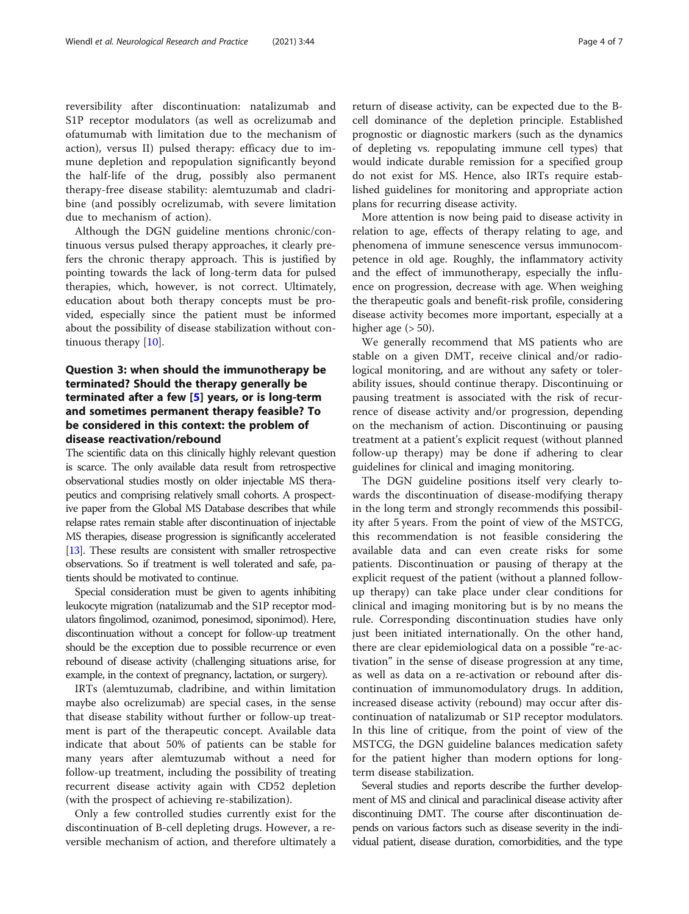reversibility after discontinuation: natalizumab and S1P receptor modulators (as well as ocrelizumab and ofatumumab with limitation due to the mechanism of action), versus II) pulsed therapy: efficacy due to immune depletion and repopulation significantly beyond the half-life of the drug, possibly also permanent therapy-free disease stability: alemtuzumab and cladribine (and possibly ocrelizumab, with severe limitation due to mechanism of action).

Although the DGN guideline mentions chronic/continuous versus pulsed therapy approaches, it clearly prefers the chronic therapy approach. This is justified by pointing towards the lack of long-term data for pulsed therapies, which, however, is not correct. Ultimately, education about both therapy concepts must be provided, especially since the patient must be informed about the possibility of disease stabilization without continuous therapy [[10\]](#page-6-0).

# Question 3: when should the immunotherapy be terminated? Should the therapy generally be terminated after a few [\[5\]](#page-5-0) years, or is long-term and sometimes permanent therapy feasible? To be considered in this context: the problem of disease reactivation/rebound

The scientific data on this clinically highly relevant question is scarce. The only available data result from retrospective observational studies mostly on older injectable MS therapeutics and comprising relatively small cohorts. A prospective paper from the Global MS Database describes that while relapse rates remain stable after discontinuation of injectable MS therapies, disease progression is significantly accelerated [[13\]](#page-6-0). These results are consistent with smaller retrospective observations. So if treatment is well tolerated and safe, patients should be motivated to continue.

Special consideration must be given to agents inhibiting leukocyte migration (natalizumab and the S1P receptor modulators fingolimod, ozanimod, ponesimod, siponimod). Here, discontinuation without a concept for follow-up treatment should be the exception due to possible recurrence or even rebound of disease activity (challenging situations arise, for example, in the context of pregnancy, lactation, or surgery).

IRTs (alemtuzumab, cladribine, and within limitation maybe also ocrelizumab) are special cases, in the sense that disease stability without further or follow-up treatment is part of the therapeutic concept. Available data indicate that about 50% of patients can be stable for many years after alemtuzumab without a need for follow-up treatment, including the possibility of treating recurrent disease activity again with CD52 depletion (with the prospect of achieving re-stabilization).

Only a few controlled studies currently exist for the discontinuation of B-cell depleting drugs. However, a reversible mechanism of action, and therefore ultimately a return of disease activity, can be expected due to the Bcell dominance of the depletion principle. Established prognostic or diagnostic markers (such as the dynamics of depleting vs. repopulating immune cell types) that would indicate durable remission for a specified group do not exist for MS. Hence, also IRTs require established guidelines for monitoring and appropriate action plans for recurring disease activity.

More attention is now being paid to disease activity in relation to age, effects of therapy relating to age, and phenomena of immune senescence versus immunocompetence in old age. Roughly, the inflammatory activity and the effect of immunotherapy, especially the influence on progression, decrease with age. When weighing the therapeutic goals and benefit-risk profile, considering disease activity becomes more important, especially at a higher age  $(> 50)$ .

We generally recommend that MS patients who are stable on a given DMT, receive clinical and/or radiological monitoring, and are without any safety or tolerability issues, should continue therapy. Discontinuing or pausing treatment is associated with the risk of recurrence of disease activity and/or progression, depending on the mechanism of action. Discontinuing or pausing treatment at a patient's explicit request (without planned follow-up therapy) may be done if adhering to clear guidelines for clinical and imaging monitoring.

The DGN guideline positions itself very clearly towards the discontinuation of disease-modifying therapy in the long term and strongly recommends this possibility after 5 years. From the point of view of the MSTCG, this recommendation is not feasible considering the available data and can even create risks for some patients. Discontinuation or pausing of therapy at the explicit request of the patient (without a planned followup therapy) can take place under clear conditions for clinical and imaging monitoring but is by no means the rule. Corresponding discontinuation studies have only just been initiated internationally. On the other hand, there are clear epidemiological data on a possible "re-activation" in the sense of disease progression at any time, as well as data on a re-activation or rebound after discontinuation of immunomodulatory drugs. In addition, increased disease activity (rebound) may occur after discontinuation of natalizumab or S1P receptor modulators. In this line of critique, from the point of view of the MSTCG, the DGN guideline balances medication safety for the patient higher than modern options for longterm disease stabilization.

Several studies and reports describe the further development of MS and clinical and paraclinical disease activity after discontinuing DMT. The course after discontinuation depends on various factors such as disease severity in the individual patient, disease duration, comorbidities, and the type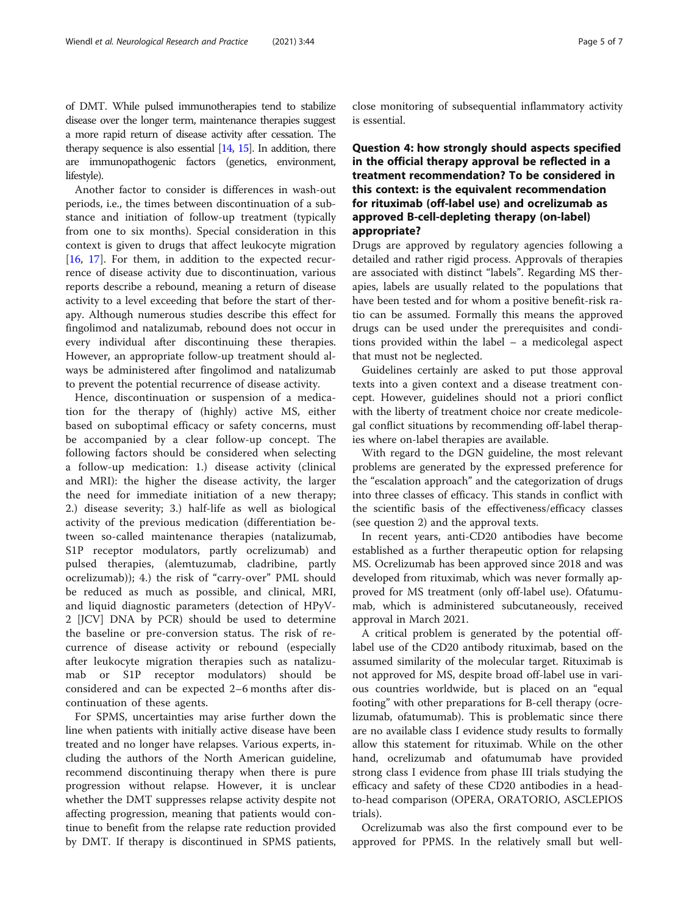of DMT. While pulsed immunotherapies tend to stabilize disease over the longer term, maintenance therapies suggest a more rapid return of disease activity after cessation. The therapy sequence is also essential  $[14, 15]$  $[14, 15]$  $[14, 15]$  $[14, 15]$  $[14, 15]$ . In addition, there are immunopathogenic factors (genetics, environment, lifestyle).

Another factor to consider is differences in wash-out periods, i.e., the times between discontinuation of a substance and initiation of follow-up treatment (typically from one to six months). Special consideration in this context is given to drugs that affect leukocyte migration [[16,](#page-6-0) [17](#page-6-0)]. For them, in addition to the expected recurrence of disease activity due to discontinuation, various reports describe a rebound, meaning a return of disease activity to a level exceeding that before the start of therapy. Although numerous studies describe this effect for fingolimod and natalizumab, rebound does not occur in every individual after discontinuing these therapies. However, an appropriate follow-up treatment should always be administered after fingolimod and natalizumab to prevent the potential recurrence of disease activity.

Hence, discontinuation or suspension of a medication for the therapy of (highly) active MS, either based on suboptimal efficacy or safety concerns, must be accompanied by a clear follow-up concept. The following factors should be considered when selecting a follow-up medication: 1.) disease activity (clinical and MRI): the higher the disease activity, the larger the need for immediate initiation of a new therapy; 2.) disease severity; 3.) half-life as well as biological activity of the previous medication (differentiation between so-called maintenance therapies (natalizumab, S1P receptor modulators, partly ocrelizumab) and pulsed therapies, (alemtuzumab, cladribine, partly ocrelizumab)); 4.) the risk of "carry-over" PML should be reduced as much as possible, and clinical, MRI, and liquid diagnostic parameters (detection of HPyV-2 [JCV] DNA by PCR) should be used to determine the baseline or pre-conversion status. The risk of recurrence of disease activity or rebound (especially after leukocyte migration therapies such as natalizumab or S1P receptor modulators) should be considered and can be expected 2–6 months after discontinuation of these agents.

For SPMS, uncertainties may arise further down the line when patients with initially active disease have been treated and no longer have relapses. Various experts, including the authors of the North American guideline, recommend discontinuing therapy when there is pure progression without relapse. However, it is unclear whether the DMT suppresses relapse activity despite not affecting progression, meaning that patients would continue to benefit from the relapse rate reduction provided by DMT. If therapy is discontinued in SPMS patients,

close monitoring of subsequential inflammatory activity is essential.

# Question 4: how strongly should aspects specified in the official therapy approval be reflected in a treatment recommendation? To be considered in this context: is the equivalent recommendation for rituximab (off-label use) and ocrelizumab as approved B-cell-depleting therapy (on-label) appropriate?

Drugs are approved by regulatory agencies following a detailed and rather rigid process. Approvals of therapies are associated with distinct "labels". Regarding MS therapies, labels are usually related to the populations that have been tested and for whom a positive benefit-risk ratio can be assumed. Formally this means the approved drugs can be used under the prerequisites and conditions provided within the label – a medicolegal aspect that must not be neglected.

Guidelines certainly are asked to put those approval texts into a given context and a disease treatment concept. However, guidelines should not a priori conflict with the liberty of treatment choice nor create medicolegal conflict situations by recommending off-label therapies where on-label therapies are available.

With regard to the DGN guideline, the most relevant problems are generated by the expressed preference for the "escalation approach" and the categorization of drugs into three classes of efficacy. This stands in conflict with the scientific basis of the effectiveness/efficacy classes (see question 2) and the approval texts.

In recent years, anti-CD20 antibodies have become established as a further therapeutic option for relapsing MS. Ocrelizumab has been approved since 2018 and was developed from rituximab, which was never formally approved for MS treatment (only off-label use). Ofatumumab, which is administered subcutaneously, received approval in March 2021.

A critical problem is generated by the potential offlabel use of the CD20 antibody rituximab, based on the assumed similarity of the molecular target. Rituximab is not approved for MS, despite broad off-label use in various countries worldwide, but is placed on an "equal footing" with other preparations for B-cell therapy (ocrelizumab, ofatumumab). This is problematic since there are no available class I evidence study results to formally allow this statement for rituximab. While on the other hand, ocrelizumab and ofatumumab have provided strong class I evidence from phase III trials studying the efficacy and safety of these CD20 antibodies in a headto-head comparison (OPERA, ORATORIO, ASCLEPIOS trials).

Ocrelizumab was also the first compound ever to be approved for PPMS. In the relatively small but well-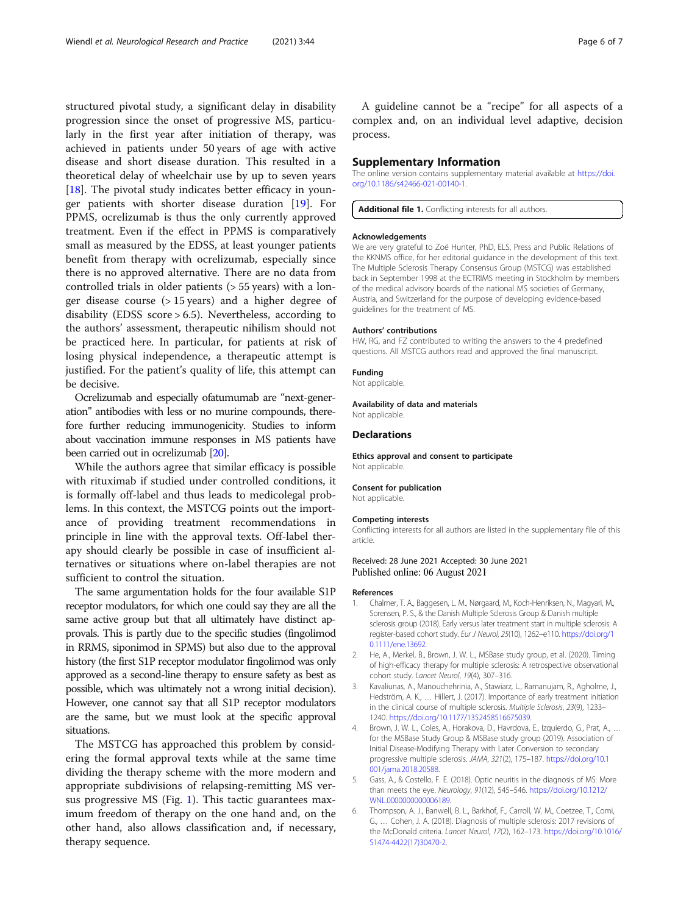<span id="page-5-0"></span>structured pivotal study, a significant delay in disability progression since the onset of progressive MS, particularly in the first year after initiation of therapy, was achieved in patients under 50 years of age with active disease and short disease duration. This resulted in a theoretical delay of wheelchair use by up to seven years [[18\]](#page-6-0). The pivotal study indicates better efficacy in younger patients with shorter disease duration [[19\]](#page-6-0). For PPMS, ocrelizumab is thus the only currently approved treatment. Even if the effect in PPMS is comparatively small as measured by the EDSS, at least younger patients benefit from therapy with ocrelizumab, especially since there is no approved alternative. There are no data from controlled trials in older patients (> 55 years) with a longer disease course (> 15 years) and a higher degree of disability (EDSS score > 6.5). Nevertheless, according to the authors' assessment, therapeutic nihilism should not be practiced here. In particular, for patients at risk of losing physical independence, a therapeutic attempt is justified. For the patient's quality of life, this attempt can be decisive.

Ocrelizumab and especially ofatumumab are "next-generation" antibodies with less or no murine compounds, therefore further reducing immunogenicity. Studies to inform about vaccination immune responses in MS patients have been carried out in ocrelizumab [\[20](#page-6-0)].

While the authors agree that similar efficacy is possible with rituximab if studied under controlled conditions, it is formally off-label and thus leads to medicolegal problems. In this context, the MSTCG points out the importance of providing treatment recommendations in principle in line with the approval texts. Off-label therapy should clearly be possible in case of insufficient alternatives or situations where on-label therapies are not sufficient to control the situation.

The same argumentation holds for the four available S1P receptor modulators, for which one could say they are all the same active group but that all ultimately have distinct approvals. This is partly due to the specific studies (fingolimod in RRMS, siponimod in SPMS) but also due to the approval history (the first S1P receptor modulator fingolimod was only approved as a second-line therapy to ensure safety as best as possible, which was ultimately not a wrong initial decision). However, one cannot say that all S1P receptor modulators are the same, but we must look at the specific approval situations.

The MSTCG has approached this problem by considering the formal approval texts while at the same time dividing the therapy scheme with the more modern and appropriate subdivisions of relapsing-remitting MS versus progressive MS (Fig. [1](#page-1-0)). This tactic guarantees maximum freedom of therapy on the one hand and, on the other hand, also allows classification and, if necessary, therapy sequence.

A guideline cannot be a "recipe" for all aspects of a complex and, on an individual level adaptive, decision process.

## Supplementary Information

The online version contains supplementary material available at [https://doi.](https://doi.org/10.1186/s42466-021-00140-1) [org/10.1186/s42466-021-00140-1.](https://doi.org/10.1186/s42466-021-00140-1)

Additional file 1. Conflicting interests for all authors

### Acknowledgements

We are very grateful to Zoë Hunter, PhD, ELS, Press and Public Relations of the KKNMS office, for her editorial guidance in the development of this text. The Multiple Sclerosis Therapy Consensus Group (MSTCG) was established back in September 1998 at the ECTRIMS meeting in Stockholm by members of the medical advisory boards of the national MS societies of Germany, Austria, and Switzerland for the purpose of developing evidence-based guidelines for the treatment of MS.

#### Authors' contributions

HW, RG, and FZ contributed to writing the answers to the 4 predefined questions. All MSTCG authors read and approved the final manuscript.

## Funding

Not applicable.

#### Availability of data and materials Not applicable.

## **Declarations**

Ethics approval and consent to participate Not applicable.

#### Consent for publication

Not applicable.

#### Competing interests

Conflicting interests for all authors are listed in the supplementary file of this article.

## Received: 28 June 2021 Accepted: 30 June 2021 Published online: 06 August 2021

#### References

- 1. Chalmer, T. A., Baggesen, L. M., Nørgaard, M., Koch-Henriksen, N., Magyari, M., Sorensen, P. S., & the Danish Multiple Sclerosis Group & Danish multiple sclerosis group (2018). Early versus later treatment start in multiple sclerosis: A register-based cohort study. Eur J Neurol, 25(10), 1262–e110. [https://doi.org/1](https://doi.org/10.1111/ene.13692) [0.1111/ene.13692.](https://doi.org/10.1111/ene.13692)
- 2. He, A., Merkel, B., Brown, J. W. L., MSBase study group, et al. (2020). Timing of high-efficacy therapy for multiple sclerosis: A retrospective observational cohort study. Lancet Neurol, 19(4), 307–316.
- 3. Kavaliunas, A., Manouchehrinia, A., Stawiarz, L., Ramanujam, R., Agholme, J., Hedström, A. K., … Hillert, J. (2017). Importance of early treatment initiation in the clinical course of multiple sclerosis. Multiple Sclerosis, 23(9), 1233– 1240. [https://doi.org/10.1177/1352458516675039.](https://doi.org/10.1177/1352458516675039)
- 4. Brown, J. W. L., Coles, A., Horakova, D., Havrdova, E., Izquierdo, G., Prat, A., … for the MSBase Study Group & MSBase study group (2019). Association of Initial Disease-Modifying Therapy with Later Conversion to secondary progressive multiple sclerosis. JAMA, 321(2), 175–187. [https://doi.org/10.1](https://doi.org/10.1001/jama.2018.20588) [001/jama.2018.20588](https://doi.org/10.1001/jama.2018.20588).
- 5. Gass, A., & Costello, F. E. (2018). Optic neuritis in the diagnosis of MS: More than meets the eye. Neurology, 91(12), 545–546. [https://doi.org/10.1212/](https://doi.org/10.1212/WNL.0000000000006189) [WNL.0000000000006189](https://doi.org/10.1212/WNL.0000000000006189).
- 6. Thompson, A. J., Banwell, B. L., Barkhof, F., Carroll, W. M., Coetzee, T., Comi, G., … Cohen, J. A. (2018). Diagnosis of multiple sclerosis: 2017 revisions of the McDonald criteria. Lancet Neurol, 17(2), 162–173. [https://doi.org/10.1016/](https://doi.org/10.1016/S1474-4422(17)30470-2) [S1474-4422\(17\)30470-2](https://doi.org/10.1016/S1474-4422(17)30470-2).